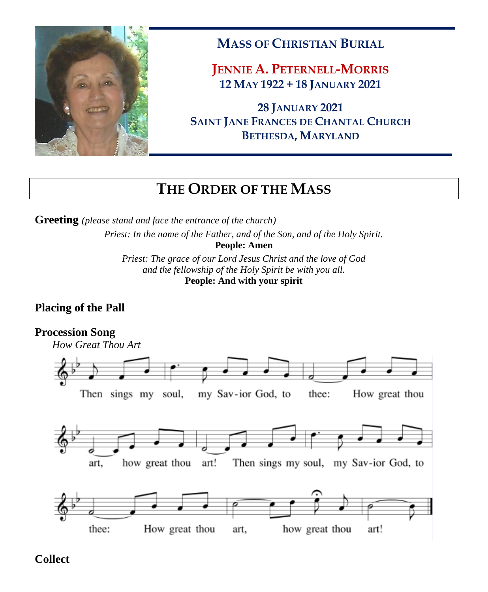

**MASS OF CHRISTIAN BURIAL**

**JENNIE A. PETERNELL-MORRIS 12 MAY 1922 + 18 JANUARY 2021**

**28 JANUARY 2021 SAINT JANE FRANCES DE CHANTAL CHURCH BETHESDA, MARYLAND**

# **THE ORDER OF THE MASS**

**Greeting** *(please stand and face the entrance of the church) Priest: In the name of the Father, and of the Son, and of the Holy Spirit.* **People: Amen**

> *Priest: The grace of our Lord Jesus Christ and the love of God and the fellowship of the Holy Spirit be with you all.* **People: And with your spirit**

# **Placing of the Pall**

### **Procession Song**



**Collect**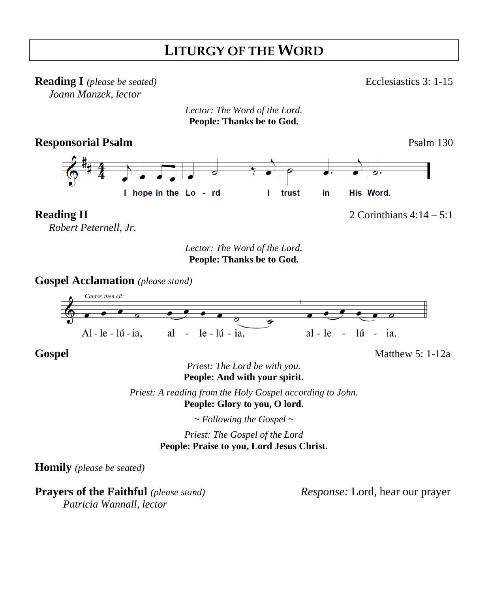# **LITURGY OF THE WORD**

### **Reading I** (please be seated) Ecclesiastics 3: 1-15

*Joann Manzek, lector*

*Lector: The Word of the Lord.* **People: Thanks be to God.**

# **Responsorial Psalm 130** Psalm 130



*Robert Peternell, Jr.*

*Lector: The Word of the Lord.* **People: Thanks be to God.**

### **Gospel Acclamation** *(please stand)*



**People: And with your spirit.**

*Priest: A reading from the Holy Gospel according to John.* **People: Glory to you, O lord.**

*~ Following the Gospel ~*

*Priest: The Gospel of the Lord* **People: Praise to you, Lord Jesus Christ.**

**Homily** *(please be seated)*

**Prayers of the Faithful** *(please stand) Response:* Lord, hear our prayer *Patricia Wannall, lector*

**Reading II** 2 Corinthians 4:14 – 5:1

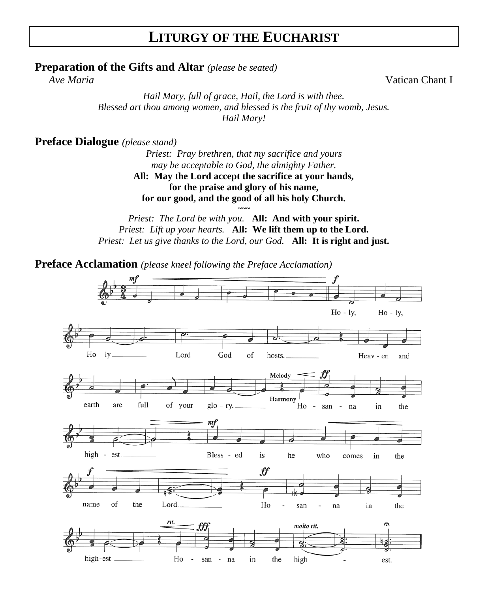# **LITURGY OF THE EUCHARIST**

### **Preparation of the Gifts and Altar** *(please be seated)*

*Ave Maria* **Value 2008 Value 2009 Value 2009 Value 2009 Value 2009 Value 2009 Value 2009 Value 2009 Value 2009 Value 2009 Value 2009 Value 2009 Value 2009 Value 2009 Value 2009 Value 2009 V** 

*Hail Mary, full of grace, Hail, the Lord is with thee. Blessed art thou among women, and blessed is the fruit of thy womb, Jesus. Hail Mary!*

**Preface Dialogue** *(please stand)*

*Priest: Pray brethren, that my sacrifice and yours may be acceptable to God, the almighty Father.* **All: May the Lord accept the sacrifice at your hands, for the praise and glory of his name, for our good, and the good of all his holy Church.**

*Priest: The Lord be with you.* **All: And with your spirit.** *Priest: Lift up your hearts.* **All: We lift them up to the Lord.** *Priest: Let us give thanks to the Lord, our God.* **All: It is right and just.**

**~~~**

**Preface Acclamation** *(please kneel following the Preface Acclamation)*

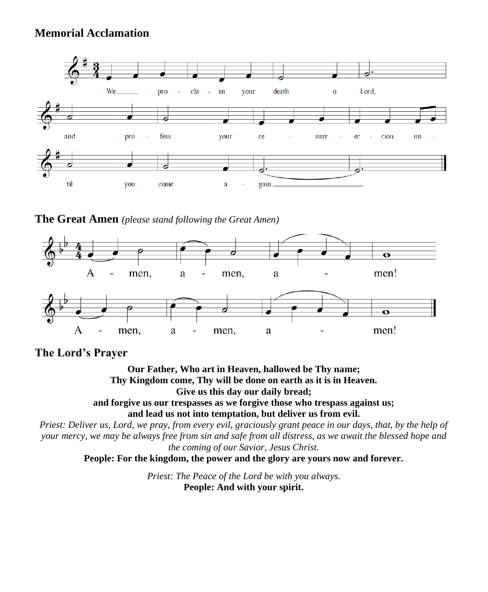# **Memorial Acclamation**



**The Great Amen** *(please stand following the Great Amen)*



**The Lord's Prayer**

**Our Father, Who art in Heaven, hallowed be Thy name; Thy Kingdom come, Thy [will](http://www.catholic.org/encyclopedia/view.php?id=12332) be done on earth as it is in Heaven. Give us this day our daily bread; and forgive us our trespasses as we forgive those who trespass against us; and lead us not into temptation, but deliver us from evil.**

*Priest: Deliver us, Lord, we pray, from every evil, graciously grant peace in our days, that, by the help of your mercy, we may be always free from sin and safe from all distress, as we await the blessed hope and the coming of our Savior, Jesus Christ.*

**People: For the kingdom, the power and the glory are yours now and forever.**

*Priest: The Peace of the Lord be with you always.* **People: And with your spirit.**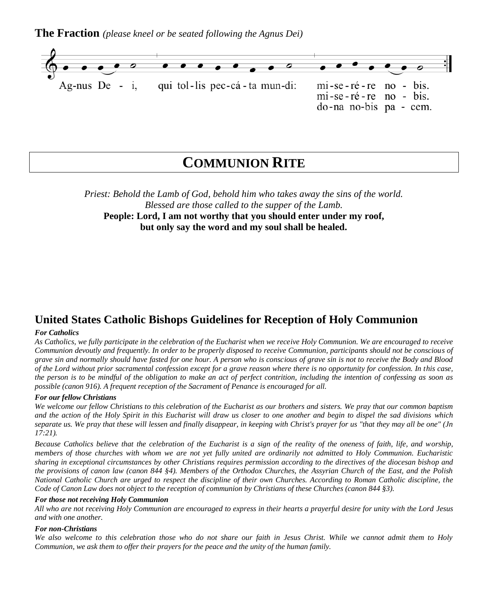

# **COMMUNION RITE**

*Priest: Behold the Lamb of God, behold him who takes away the sins of the world. Blessed are those called to the supper of the Lamb.* **People: Lord, I am not worthy that you should enter under my roof, but only say the word and my soul shall be healed.**

# **United States Catholic Bishops Guidelines for Reception of Holy Communion**

#### *For Catholics*

*As Catholics, we fully participate in the celebration of the Eucharist when we receive Holy Communion. We are encouraged to receive Communion devoutly and frequently. In order to be properly disposed to receive Communion, participants should not be conscious of grave sin and normally should have fasted for one hour. A person who is conscious of grave sin is not to receive the Body and Blood of the Lord without prior sacramental confession except for a grave reason where there is no opportunity for confession. In this case, the person is to be mindful of the obligation to make an act of perfect contrition, including the intention of confessing as soon as possible (canon 916). A frequent reception of the Sacrament of Penance is encouraged for all.*

#### *For our fellow Christians*

We welcome our fellow Christians to this celebration of the Eucharist as our brothers and sisters. We pray that our common baptism *and the action of the Holy Spirit in this Eucharist will draw us closer to one another and begin to dispel the sad divisions which separate us. We pray that these will lessen and finally disappear, in keeping with Christ's prayer for us "that they may all be one" (Jn 17:21).*

*Because Catholics believe that the celebration of the Eucharist is a sign of the reality of the oneness of faith, life, and worship, members of those churches with whom we are not yet fully united are ordinarily not admitted to Holy Communion. Eucharistic sharing in exceptional circumstances by other Christians requires permission according to the directives of the diocesan bishop and the provisions of canon law (canon 844 §4). Members of the Orthodox Churches, the Assyrian Church of the East, and the Polish National Catholic Church are urged to respect the discipline of their own Churches. According to Roman Catholic discipline, the Code of Canon Law does not object to the reception of communion by Christians of these Churches (canon 844 §3).*

#### *For those not receiving Holy Communion*

*All who are not receiving Holy Communion are encouraged to express in their hearts a prayerful desire for unity with the Lord Jesus and with one another.*

#### *For non-Christians*

*We also welcome to this celebration those who do not share our faith in Jesus Christ. While we cannot admit them to Holy Communion, we ask them to offer their prayers for the peace and the unity of the human family.*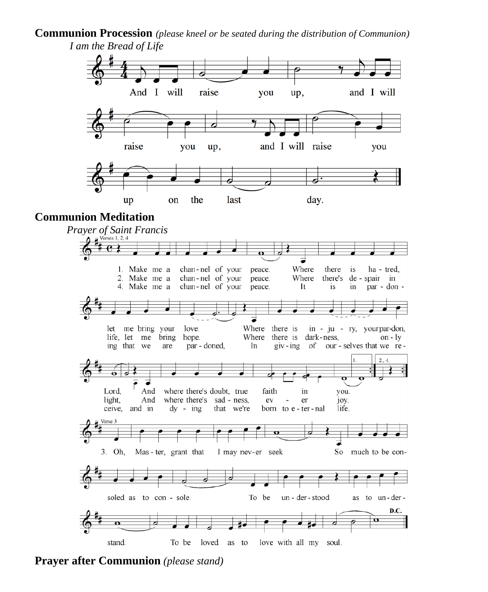**Communion Procession** *(please kneel or be seated during the distribution of Communion) I am the Bread of Life* 



**Prayer after Communion** *(please stand)*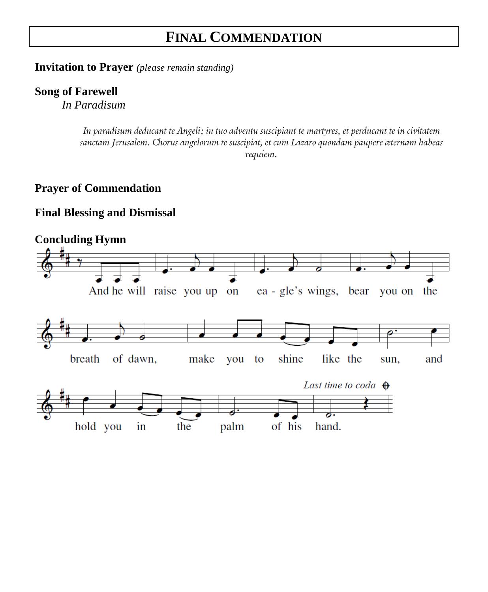# **FINAL COMMENDATION**

### **Invitation to Prayer** *(please remain standing)*

# **Song of Farewell**

*In Paradisum*

In paradisum deducant te Angeli; in tuo adventu suscipiant te martyres, et perducant te in civitatem sanctam Jerusalem. Chorus angelorum te suscipiat, et cum Lazaro quondam paupere æternam habeas requiem.

# **Prayer of Commendation**

### **Final Blessing and Dismissal**